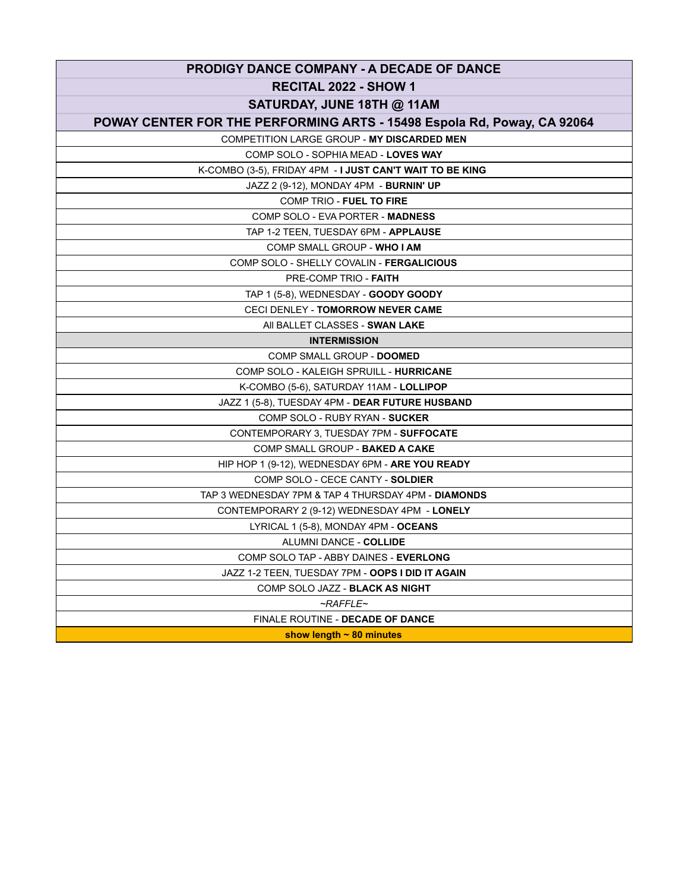| <b>PRODIGY DANCE COMPANY - A DECADE OF DANCE</b>                        |
|-------------------------------------------------------------------------|
| <b>RECITAL 2022 - SHOW 1</b>                                            |
| SATURDAY, JUNE 18TH @ 11AM                                              |
| POWAY CENTER FOR THE PERFORMING ARTS - 15498 Espola Rd, Poway, CA 92064 |
| COMPETITION LARGE GROUP - MY DISCARDED MEN                              |
| COMP SOLO - SOPHIA MEAD - LOVES WAY                                     |
| K-COMBO (3-5), FRIDAY 4PM - I JUST CAN'T WAIT TO BE KING                |
| JAZZ 2 (9-12), MONDAY 4PM - BURNIN' UP                                  |
| <b>COMP TRIO - FUEL TO FIRE</b>                                         |
| COMP SOLO - EVA PORTER - MADNESS                                        |
| TAP 1-2 TEEN, TUESDAY 6PM - APPLAUSE                                    |
| COMP SMALL GROUP - WHO I AM                                             |
| COMP SOLO - SHELLY COVALIN - FERGALICIOUS                               |
| PRE-COMP TRIO - FAITH                                                   |
| TAP 1 (5-8), WEDNESDAY - GOODY GOODY                                    |
| <b>CECI DENLEY - TOMORROW NEVER CAME</b>                                |
| AII BALLET CLASSES - SWAN LAKE                                          |
| <b>INTERMISSION</b>                                                     |
| COMP SMALL GROUP - DOOMED                                               |
| COMP SOLO - KALEIGH SPRUILL - HURRICANE                                 |
| K-COMBO (5-6), SATURDAY 11AM - LOLLIPOP                                 |
| JAZZ 1 (5-8), TUESDAY 4PM - <b>DEAR FUTURE HUSBAND</b>                  |
| COMP SOLO - RUBY RYAN - SUCKER                                          |
| CONTEMPORARY 3, TUESDAY 7PM - SUFFOCATE                                 |
| COMP SMALL GROUP - BAKED A CAKE                                         |
| HIP HOP 1 (9-12), WEDNESDAY 6PM - ARE YOU READY                         |
| COMP SOLO - CECE CANTY - SOLDIER                                        |
| TAP 3 WEDNESDAY 7PM & TAP 4 THURSDAY 4PM - DIAMONDS                     |
| CONTEMPORARY 2 (9-12) WEDNESDAY 4PM - LONELY                            |
| LYRICAL 1 (5-8), MONDAY 4PM - OCEANS                                    |
| ALUMNI DANCE - COLLIDE                                                  |
| COMP SOLO TAP - ABBY DAINES - EVERLONG                                  |
| JAZZ 1-2 TEEN, TUESDAY 7PM - OOPS I DID IT AGAIN                        |
| COMP SOLO JAZZ - BLACK AS NIGHT                                         |
| $\neg RAFFLE\neg$                                                       |
| FINALE ROUTINE - DECADE OF DANCE                                        |
| show length $\sim$ 80 minutes                                           |